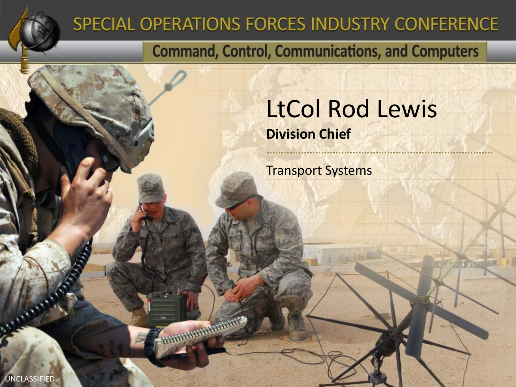

### SPECIAL OPERATIONS FORCES INDUSTRY CONFERENCE

**FRANCISCO DE LA CALIFACTIVA DE** 

**Command, Control, Communications, and Computers** 

### LtCol Rod Lewis **Division Chief**

Transport Systems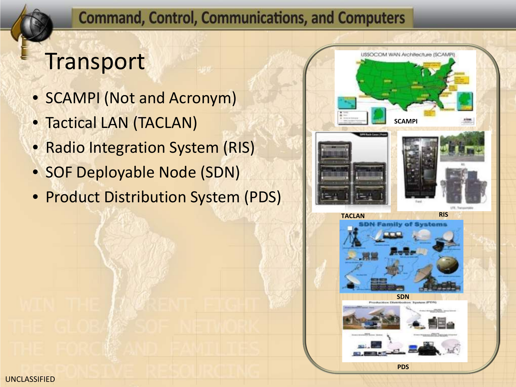## **Transport**

- SCAMPI (Not and Acronym)
- Tactical LAN (TACLAN)
- Radio Integration System (RIS)
- SOF Deployable Node (SDN)
- Product Distribution System (PDS)

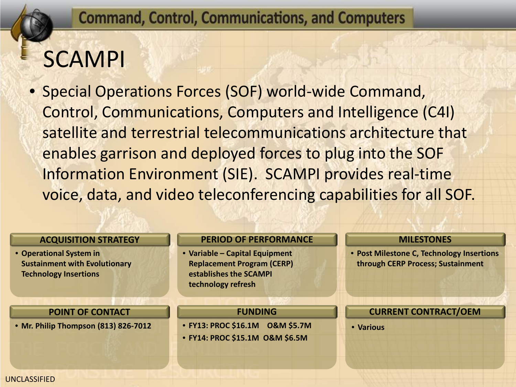## SCAMPI

• Special Operations Forces (SOF) world-wide Command, Control, Communications, Computers and Intelligence (C4I) satellite and terrestrial telecommunications architecture that enables garrison and deployed forces to plug into the SOF Information Environment (SIE). SCAMPI provides real-time voice, data, and video teleconferencing capabilities for all SOF.

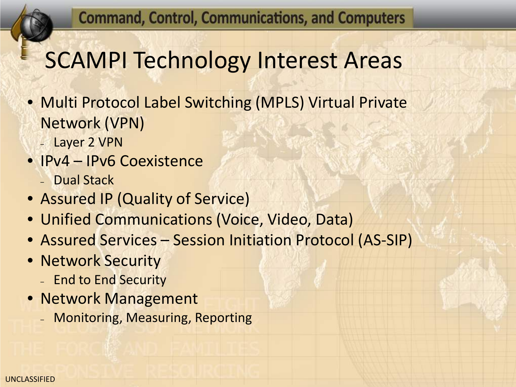# SCAMPI Technology Interest Areas

- Multi Protocol Label Switching (MPLS) Virtual Private Network (VPN)
	- Layer 2 VPN
- IPv4 IPv6 Coexistence
	- Dual Stack
- Assured IP (Quality of Service)
- Unified Communications (Voice, Video, Data)
- Assured Services Session Initiation Protocol (AS-SIP)
- Network Security
	- End to End Security
- Network Management
	- Monitoring, Measuring, Reporting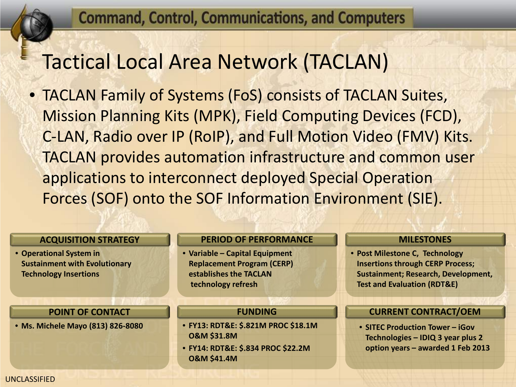### Tactical Local Area Network (TACLAN)

• TACLAN Family of Systems (FoS) consists of TACLAN Suites, Mission Planning Kits (MPK), Field Computing Devices (FCD), C-LAN, Radio over IP (RoIP), and Full Motion Video (FMV) Kits. TACLAN provides automation infrastructure and common user applications to interconnect deployed Special Operation Forces (SOF) onto the SOF Information Environment (SIE).

#### **ACQUISITION STRATEGY**

• **Operational System in Sustainment with Evolutionary Technology Insertions**

#### **POINT OF CONTACT**

• **Ms. Michele Mayo (813) 826-8080**

#### **PERIOD OF PERFORMANCE**

• **Variable – Capital Equipment Replacement Program (CERP) establishes the TACLAN technology refresh**

#### **FUNDING**

- **FY13: RDT&E: \$.821M PROC \$18.1M O&M \$31.8M**
- **FY14: RDT&E: \$.834 PROC \$22.2M O&M \$41.4M**

#### **MILESTONES**

• **Post Milestone C, Technology Insertions through CERP Process; Sustainment; Research, Development, Test and Evaluation (RDT&E)**

#### **CURRENT CONTRACT/OEM**

• **SITEC Production Tower – iGov Technologies – IDIQ 3 year plus 2 option years – awarded 1 Feb 2013**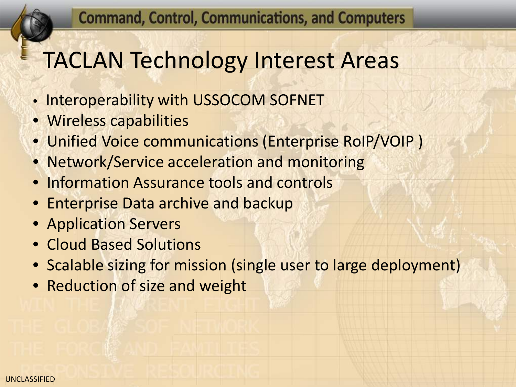## TACLAN Technology Interest Areas

- Interoperability with USSOCOM SOFNET
- Wireless capabilities
- Unified Voice communications (Enterprise RoIP/VOIP )
- Network/Service acceleration and monitoring
- Information Assurance tools and controls
- Enterprise Data archive and backup
- Application Servers
- Cloud Based Solutions
- Scalable sizing for mission (single user to large deployment)
- Reduction of size and weight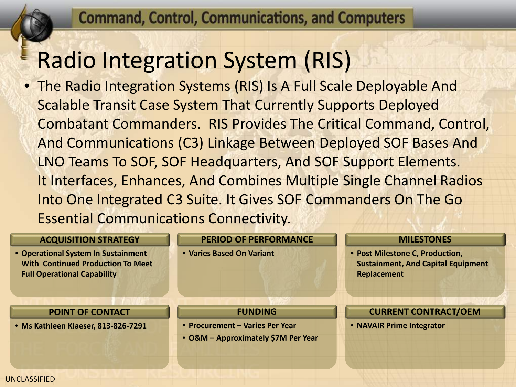## Radio Integration System (RIS)

• The Radio Integration Systems (RIS) Is A Full Scale Deployable And Scalable Transit Case System That Currently Supports Deployed Combatant Commanders. RIS Provides The Critical Command, Control, And Communications (C3) Linkage Between Deployed SOF Bases And LNO Teams To SOF, SOF Headquarters, And SOF Support Elements. It Interfaces, Enhances, And Combines Multiple Single Channel Radios Into One Integrated C3 Suite. It Gives SOF Commanders On The Go Essential Communications Connectivity.

### **ACQUISITION STRATEGY**

• **Operational System In Sustainment With Continued Production To Meet Full Operational Capability**

#### **POINT OF CONTACT**

• **Ms Kathleen Klaeser, 813-826-7291**

**PERIOD OF PERFORMANCE**

**FUNDING**

• **O&M – Approximately \$7M Per Year**

• **Procurement – Varies Per Year**

• **Varies Based On Variant**

#### **MILESTONES**

• **Post Milestone C, Production, Sustainment, And Capital Equipment Replacement**

**CURRENT CONTRACT/OEM**

• **NAVAIR Prime Integrator**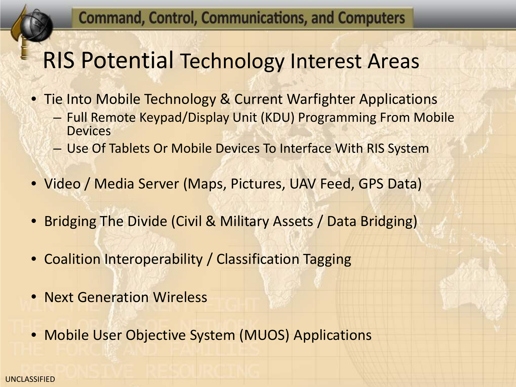### RIS Potential Technology Interest Areas

• Tie Into Mobile Technology & Current Warfighter Applications

- Full Remote Keypad/Display Unit (KDU) Programming From Mobile **Devices**
- Use Of Tablets Or Mobile Devices To Interface With RIS System
- Video / Media Server (Maps, Pictures, UAV Feed, GPS Data)
- Bridging The Divide (Civil & Military Assets / Data Bridging)
- Coalition Interoperability / Classification Tagging
- Next Generation Wireless
- Mobile User Objective System (MUOS) Applications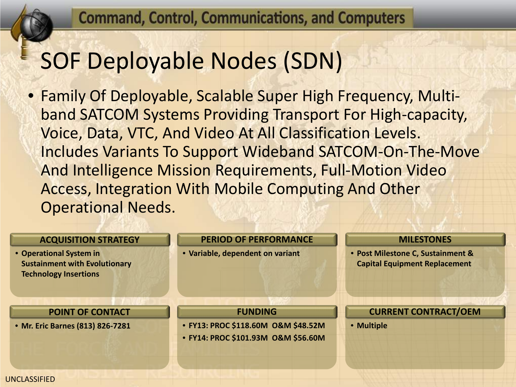### SOF Deployable Nodes (SDN)

• Family Of Deployable, Scalable Super High Frequency, Multiband SATCOM Systems Providing Transport For High-capacity, Voice, Data, VTC, And Video At All Classification Levels. Includes Variants To Support Wideband SATCOM-On-The-Move And Intelligence Mission Requirements, Full-Motion Video Access, Integration With Mobile Computing And Other Operational Needs.

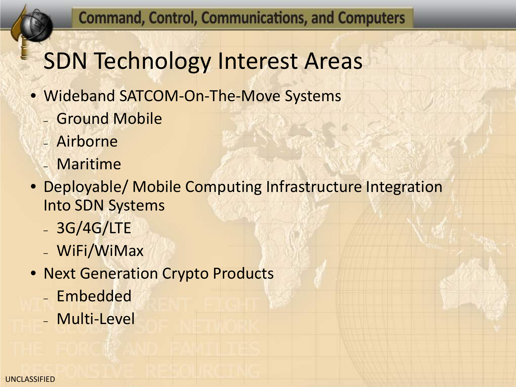## SDN Technology Interest Areas

- Wideband SATCOM-On-The-Move Systems
	- Ground Mobile
	- Airborne
	- Maritime
- Deployable/ Mobile Computing Infrastructure Integration Into SDN Systems
	- 3G/4G/LTE
	- WiFi/WiMax
- Next Generation Crypto Products
	- Embedded
	- Multi-Level